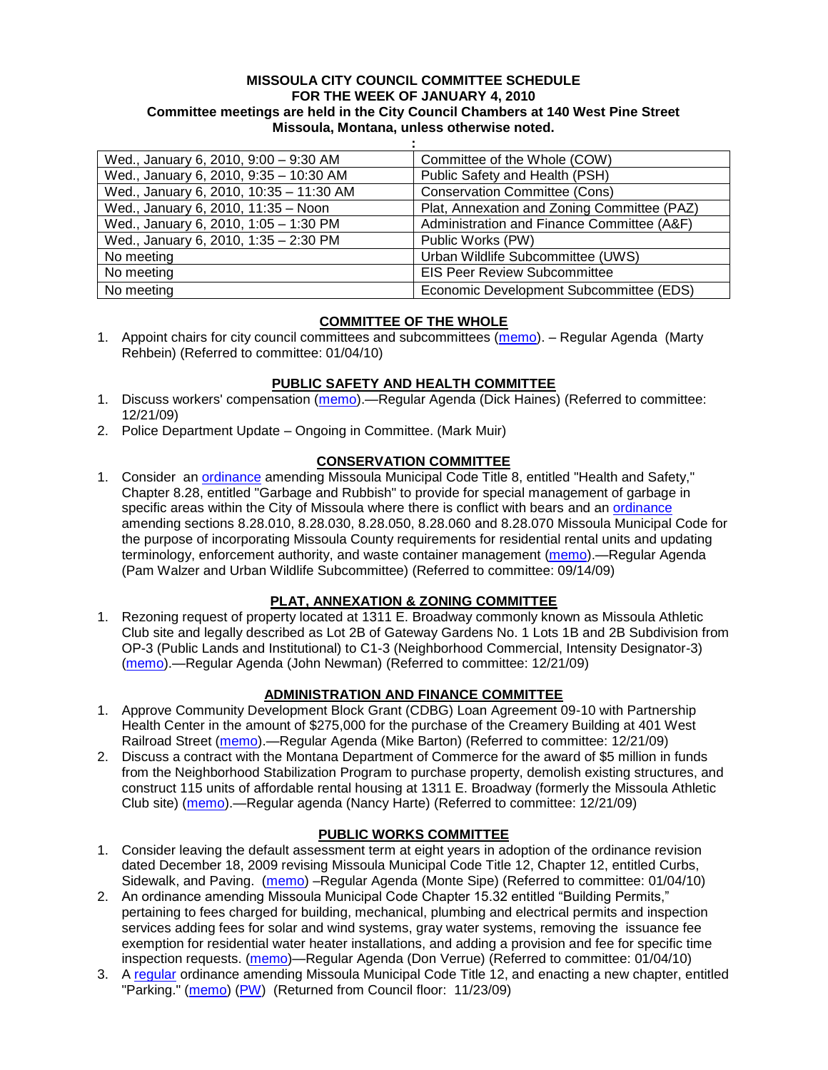#### **MISSOULA CITY COUNCIL COMMITTEE SCHEDULE FOR THE WEEK OF JANUARY 4, 2010 Committee meetings are held in the City Council Chambers at 140 West Pine Street Missoula, Montana, unless otherwise noted.**

**:**

| Wed., January 6, 2010, 9:00 - 9:30 AM   | Committee of the Whole (COW)                |
|-----------------------------------------|---------------------------------------------|
| Wed., January 6, 2010, 9:35 - 10:30 AM  | Public Safety and Health (PSH)              |
| Wed., January 6, 2010, 10:35 - 11:30 AM | <b>Conservation Committee (Cons)</b>        |
| Wed., January 6, 2010, 11:35 - Noon     | Plat, Annexation and Zoning Committee (PAZ) |
| Wed., January 6, 2010, 1:05 - 1:30 PM   | Administration and Finance Committee (A&F)  |
| Wed., January 6, 2010, 1:35 - 2:30 PM   | Public Works (PW)                           |
| No meeting                              | Urban Wildlife Subcommittee (UWS)           |
| No meeting                              | <b>EIS Peer Review Subcommittee</b>         |
| No meeting                              | Economic Development Subcommittee (EDS)     |

# **COMMITTEE OF THE WHOLE**

1. Appoint chairs for city council committees and subcommittees [\(memo\)](http://www.ci.missoula.mt.us/DocumentView.aspx?DID=2896). – Regular Agenda (Marty Rehbein) (Referred to committee: 01/04/10)

# **PUBLIC SAFETY AND HEALTH COMMITTEE**

- 1. Discuss workers' compensation [\(memo\)](http://www.ci.missoula.mt.us/DocumentView.aspx?DID=2871).—Regular Agenda (Dick Haines) (Referred to committee: 12/21/09)
- 2. Police Department Update Ongoing in Committee. (Mark Muir)

# **CONSERVATION COMMITTEE**

1. Consider an [ordinance](http://www.ci.missoula.mt.us/DocumentView.aspx?DID=2806) amending Missoula Municipal Code Title 8, entitled "Health and Safety," Chapter 8.28, entitled "Garbage and Rubbish" to provide for special management of garbage in specific areas within the City of Missoula where there is conflict with bears and an [ordinance](http://www.ci.missoula.mt.us/DocumentView.aspx?DID=2805) amending sections 8.28.010, 8.28.030, 8.28.050, 8.28.060 and 8.28.070 Missoula Municipal Code for the purpose of incorporating Missoula County requirements for residential rental units and updating terminology, enforcement authority, and waste container management [\(memo\)](http://www.ci.missoula.mt.us/DocumentView.aspx?DID=2228).—Regular Agenda (Pam Walzer and Urban Wildlife Subcommittee) (Referred to committee: 09/14/09)

# **PLAT, ANNEXATION & ZONING COMMITTEE**

1. Rezoning request of property located at 1311 E. Broadway commonly known as Missoula Athletic Club site and legally described as Lot 2B of Gateway Gardens No. 1 Lots 1B and 2B Subdivision from OP-3 (Public Lands and Institutional) to C1-3 (Neighborhood Commercial, Intensity Designator-3) [\(memo\)](http://www.ci.missoula.mt.us/DocumentView.aspx?DID=2863).—Regular Agenda (John Newman) (Referred to committee: 12/21/09)

# **ADMINISTRATION AND FINANCE COMMITTEE**

- 1. Approve Community Development Block Grant (CDBG) Loan Agreement 09-10 with Partnership Health Center in the amount of \$275,000 for the purchase of the Creamery Building at 401 West Railroad Street [\(memo\)](http://www.ci.missoula.mt.us/DocumentView.aspx?DID=2866).—Regular Agenda (Mike Barton) (Referred to committee: 12/21/09)
- 2. Discuss a contract with the Montana Department of Commerce for the award of \$5 million in funds from the Neighborhood Stabilization Program to purchase property, demolish existing structures, and construct 115 units of affordable rental housing at 1311 E. Broadway (formerly the Missoula Athletic Club site) [\(memo\)](http://www.ci.missoula.mt.us/DocumentView.aspx?DID=2867).—Regular agenda (Nancy Harte) (Referred to committee: 12/21/09)

# **PUBLIC WORKS COMMITTEE**

- 1. Consider leaving the default assessment term at eight years in adoption of the ordinance revision dated December 18, 2009 revising Missoula Municipal Code Title 12, Chapter 12, entitled Curbs, Sidewalk, and Paving. [\(memo\)](http://www.ci.missoula.mt.us/DocumentView.aspx?DID=2899) –Regular Agenda (Monte Sipe) (Referred to committee: 01/04/10)
- 2. An ordinance amending Missoula Municipal Code Chapter 15.32 entitled "Building Permits," pertaining to fees charged for building, mechanical, plumbing and electrical permits and inspection services adding fees for solar and wind systems, gray water systems, removing the issuance fee exemption for residential water heater installations, and adding a provision and fee for specific time inspection requests. [\(memo\)](http://www.ci.missoula.mt.us/DocumentView.aspx?DID=2898)—Regular Agenda (Don Verrue) (Referred to committee: 01/04/10)
- 3. A [regular](http://www.ci.missoula.mt.us/DocumentView.aspx?DID=2700) ordinance amending Missoula Municipal Code Title 12, and enacting a new chapter, entitled "Parking." [\(memo\)](http://www.ci.missoula.mt.us/DocumentView.aspx?DID=2366) [\(PW\)](http://www.ci.missoula.mt.us/Archive.aspx?ADID=1413) (Returned from Council floor: 11/23/09)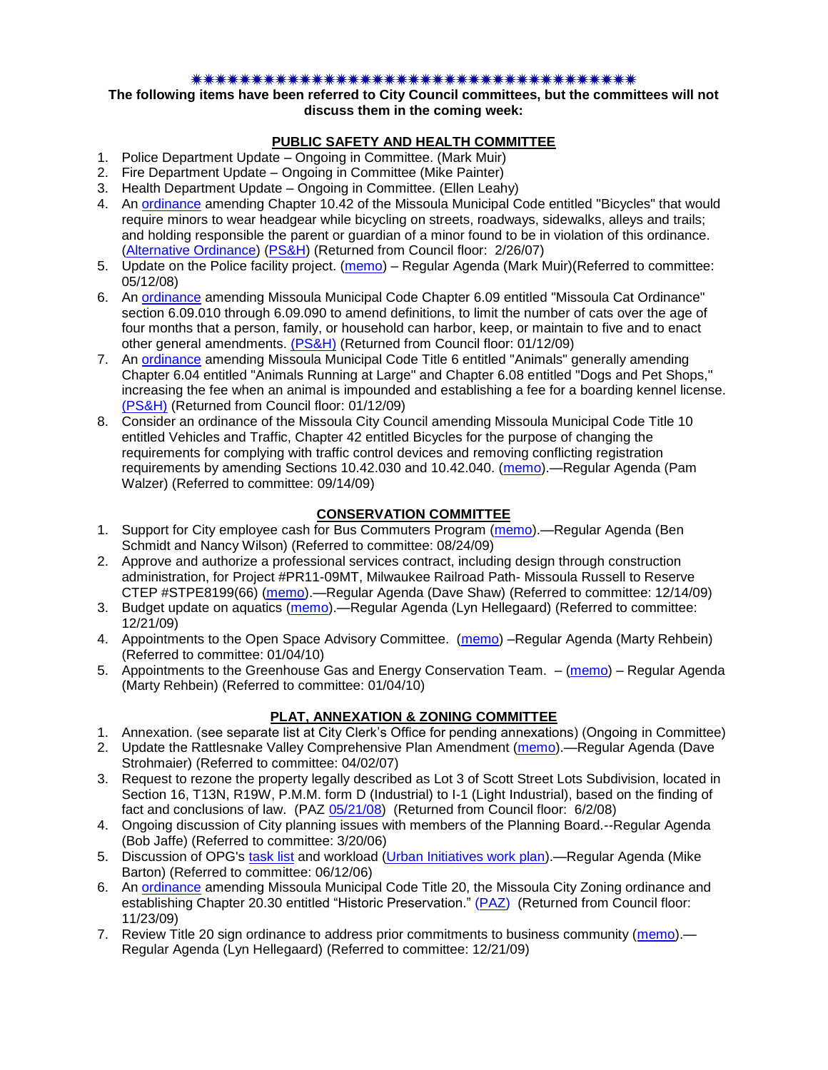#### \*\*\*\*\*\*\*\*\*\*\*\*\*\*\*\*\*\*\*\*\*\*\*\*\*\*\*\*\*\*\*\*\*\*\*\*

#### **The following items have been referred to City Council committees, but the committees will not discuss them in the coming week:**

#### **PUBLIC SAFETY AND HEALTH COMMITTEE**

- 1. Police Department Update Ongoing in Committee. (Mark Muir)
- 2. Fire Department Update Ongoing in Committee (Mike Painter)
- 3. Health Department Update Ongoing in Committee. (Ellen Leahy)
- 4. An [ordinance](ftp://ftp.ci.missoula.mt.us/Packets/Council/2007/2007-02-05/07-01-31 Helmet and bikes psh.htm) amending Chapter 10.42 of the Missoula Municipal Code entitled "Bicycles" that would require minors to wear headgear while bicycling on streets, roadways, sidewalks, alleys and trails; and holding responsible the parent or guardian of a minor found to be in violation of this ordinance. [\(Alternative Ordinance\)](ftp://ftp.ci.missoula.mt.us/Packets/Council/2007/2007-02-26/07-02-19_Alternative_Helmet_and_bikes.htm) [\(PS&H\)](ftp://ftp.ci.missoula.mt.us/Packets/Council/2007/2007-02-05/070131psh.pdf) (Returned from Council floor: 2/26/07)
- 5. Update on the Police facility project. [\(memo\)](ftp://ftp.ci.missoula.mt.us/Packets/Council/2008/2008-05-12/Referrals/Buildingpresentationreferral.htm) Regular Agenda (Mark Muir)(Referred to committee: 05/12/08)
- 6. An [ordinance](ftp://ftp.ci.missoula.mt.us/Packets/Council/2008/2008-12-15/2008CatOrdinanceAmendment%5B1%5D.pdf) amending Missoula Municipal Code Chapter 6.09 entitled "Missoula Cat Ordinance" section 6.09.010 through 6.09.090 to amend definitions, to limit the number of cats over the age of four months that a person, family, or household can harbor, keep, or maintain to five and to enact other general amendments. [\(PS&H\)](ftp://ftp.ci.missoula.mt.us/Packets/Council/2008/2008-12-15/081210psh.pdf) (Returned from Council floor: 01/12/09)
- 7. An [ordinance](ftp://ftp.ci.missoula.mt.us/Packets/Council/2008/2008-12-15/DogOrdinance--PSHrevisions.pdf) amending Missoula Municipal Code Title 6 entitled "Animals" generally amending Chapter 6.04 entitled "Animals Running at Large" and Chapter 6.08 entitled "Dogs and Pet Shops," increasing the fee when an animal is impounded and establishing a fee for a boarding kennel license. [\(PS&H\)](ftp://ftp.ci.missoula.mt.us/Packets/Council/2008/2008-12-15/081210psh.pdf) (Returned from Council floor: 01/12/09)
- 8. Consider an ordinance of the Missoula City Council amending Missoula Municipal Code Title 10 entitled Vehicles and Traffic, Chapter 42 entitled Bicycles for the purpose of changing the requirements for complying with traffic control devices and removing conflicting registration requirements by amending Sections 10.42.030 and 10.42.040. [\(memo\)](http://www.ci.missoula.mt.us/DocumentView.aspx?DID=2223).—Regular Agenda (Pam Walzer) (Referred to committee: 09/14/09)

# **CONSERVATION COMMITTEE**

- 1. Support for City employee cash for Bus Commuters Program [\(memo\)](http://www.ci.missoula.mt.us/DocumentView.aspx?DID=2127).—Regular Agenda (Ben Schmidt and Nancy Wilson) (Referred to committee: 08/24/09)
- 2. Approve and authorize a professional services contract, including design through construction administration, for Project #PR11-09MT, Milwaukee Railroad Path- Missoula Russell to Reserve CTEP #STPE8199(66) [\(memo\)](http://www.ci.missoula.mt.us/DocumentView.aspx?DID=2824).—Regular Agenda (Dave Shaw) (Referred to committee: 12/14/09)
- 3. Budget update on aquatics [\(memo\)](http://www.ci.missoula.mt.us/DocumentView.aspx?DID=2864).—Regular Agenda (Lyn Hellegaard) (Referred to committee: 12/21/09)
- 4. Appointments to the Open Space Advisory Committee. [\(memo\)](http://www.ci.missoula.mt.us/DocumentView.aspx?DID=2888) –Regular Agenda (Marty Rehbein) (Referred to committee: 01/04/10)
- 5. Appointments to the Greenhouse Gas and Energy Conservation Team. [\(memo\)](http://www.ci.missoula.mt.us/DocumentView.aspx?DID=2891) Regular Agenda (Marty Rehbein) (Referred to committee: 01/04/10)

# **PLAT, ANNEXATION & ZONING COMMITTEE**

- 1. Annexation. (see separate list at City Clerk's Office for pending annexations) (Ongoing in Committee)
- 2. Update the Rattlesnake Valley Comprehensive Plan Amendment [\(memo\)](ftp://ftp.ci.missoula.mt.us/Packets/Council/2007/2007-04-02/Referrals/Rattlesnake_Plan_Update_referral.pdf).—Regular Agenda (Dave Strohmaier) (Referred to committee: 04/02/07)
- 3. Request to rezone the property legally described as Lot 3 of Scott Street Lots Subdivision, located in Section 16, T13N, R19W, P.M.M. form D (Industrial) to I-1 (Light Industrial), based on the finding of fact and conclusions of law. (PAZ [05/21/08\)](ftp://ftp.ci.missoula.mt.us/Packets/Council/2008/2008-06-02/080521paz.pdf) (Returned from Council floor: 6/2/08)
- 4. Ongoing discussion of City planning issues with members of the Planning Board.--Regular Agenda (Bob Jaffe) (Referred to committee: 3/20/06)
- 5. Discussion of OPG's [task list](ftp://ftp.ci.missoula.mt.us/Packets/Council/2008/2008-07-07/UITaskList.pdf) and workload [\(Urban Initiatives work plan\)](ftp://ftp.ci.missoula.mt.us/Packets/Council/2006/2006-06-12/Referrals/Urban_Init.htm).—Regular Agenda (Mike Barton) (Referred to committee: 06/12/06)
- 6. An [ordinance](http://www.ci.missoula.mt.us/DocumentView.aspx?DID=2669) amending Missoula Municipal Code Title 20, the Missoula City Zoning ordinance and establishing Chapter 20.30 entitled "Historic Preservation." [\(PAZ\)](http://www.ci.missoula.mt.us/Archive.aspx?ADID=1512) (Returned from Council floor: 11/23/09)
- 7. Review Title 20 sign ordinance to address prior commitments to business community [\(memo\)](http://www.ci.missoula.mt.us/DocumentView.aspx?DID=2870) Regular Agenda (Lyn Hellegaard) (Referred to committee: 12/21/09)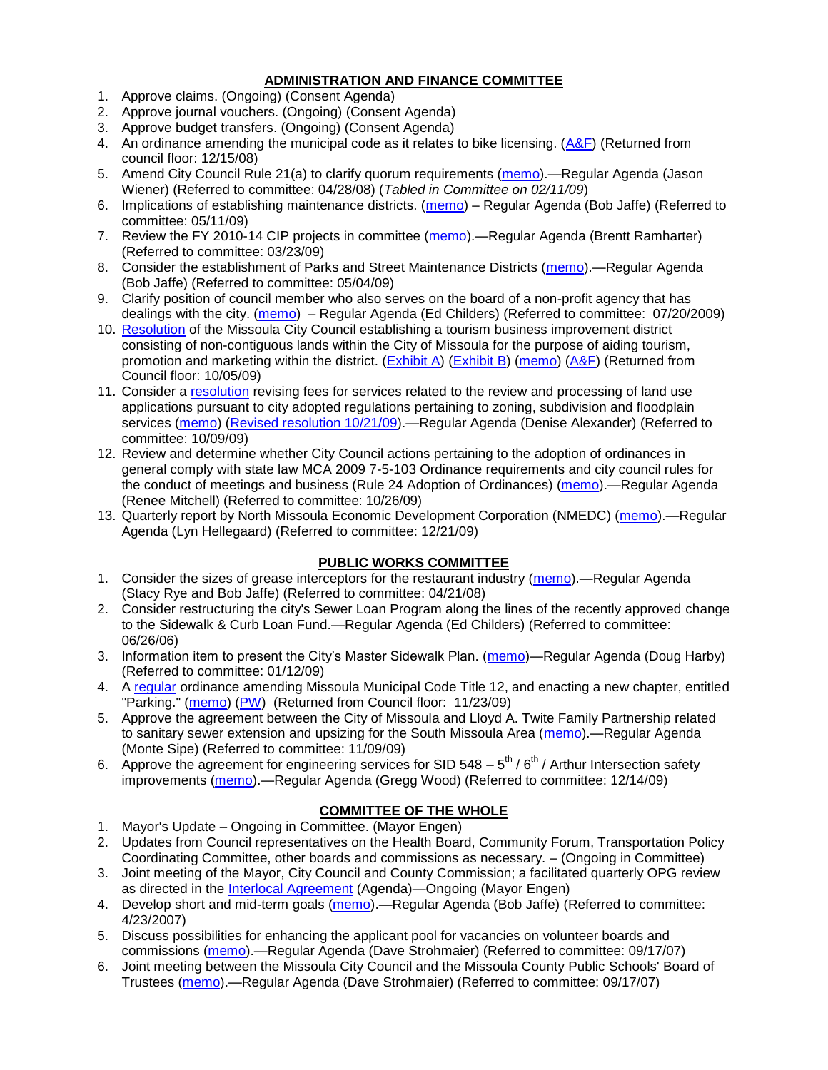# **ADMINISTRATION AND FINANCE COMMITTEE**

- 1. Approve claims. (Ongoing) (Consent Agenda)
- 2. Approve journal vouchers. (Ongoing) (Consent Agenda)
- 3. Approve budget transfers. (Ongoing) (Consent Agenda)
- 4. An ordinance amending the municipal code as it relates to bike licensing. [\(A&F\)](ftp://ftp.ci.missoula.mt.us/Packets/Council/2008/2008-12-15/081210af.pdf) (Returned from council floor: 12/15/08)
- 5. Amend City Council Rule 21(a) to clarify quorum requirements [\(memo\)](ftp://ftp.ci.missoula.mt.us/Packets/Council/2008/2008-04-28/Referrals/CouncilRule21aReferral.pdf).—Regular Agenda (Jason Wiener) (Referred to committee: 04/28/08) (*Tabled in Committee on 02/11/09*)
- 6. Implications of establishing maintenance districts. [\(memo\)](ftp://ftp.ci.missoula.mt.us/Packets/Council/2009/2009-05-11/Referrals/MaintenanceDistricts.pdf) Regular Agenda (Bob Jaffe) (Referred to committee: 05/11/09)
- 7. Review the FY 2010-14 CIP projects in committee [\(memo\)](ftp://ftp.ci.missoula.mt.us/Packets/Council/2009/2009-03-23/Referrals/RefAFCIPBudgetReviewFY2010-2014CIP.pdf).—Regular Agenda (Brentt Ramharter) (Referred to committee: 03/23/09)
- 8. Consider the establishment of Parks and Street Maintenance Districts [\(memo\)](ftp://ftp.ci.missoula.mt.us/Packets/Council/2009/2009-05-04/Referrals/MaintenanceDistricts.pdf).—Regular Agenda (Bob Jaffe) (Referred to committee: 05/04/09)
- 9. Clarify position of council member who also serves on the board of a non-profit agency that has dealings with the city. [\(memo\)](http://www.ci.missoula.mt.us/DocumentView.aspx?DID=1840) – Regular Agenda (Ed Childers) (Referred to committee: 07/20/2009)
- 10. [Resolution](http://www.ci.missoula.mt.us/DocumentView.aspx?DID=2373) of the Missoula City Council establishing a tourism business improvement district consisting of non-contiguous lands within the City of Missoula for the purpose of aiding tourism, promotion and marketing within the district. [\(Exhibit A\)](http://www.ci.missoula.mt.us/DocumentView.aspx?DID=2090) [\(Exhibit B\)](http://www.ci.missoula.mt.us/DocumentView.aspx?DID=2374) [\(memo\)](http://www.ci.missoula.mt.us/DocumentView.aspx?DID=2097) [\(A&F\)](http://www.ci.missoula.mt.us/Archive.aspx?ADID=1172) (Returned from Council floor: 10/05/09)
- 11. Consider a [resolution](http://www.ci.missoula.mt.us/DocumentView.aspx?DID=2444) revising fees for services related to the review and processing of land use applications pursuant to city adopted regulations pertaining to zoning, subdivision and floodplain services [\(memo\)](http://www.ci.missoula.mt.us/DocumentView.aspx?DID=2387) [\(Revised resolution 10/21/09\)](http://www.ci.missoula.mt.us/DocumentView.aspx?DID=2399). - Regular Agenda (Denise Alexander) (Referred to committee: 10/09/09)
- 12. Review and determine whether City Council actions pertaining to the adoption of ordinances in general comply with state law MCA 2009 7-5-103 Ordinance requirements and city council rules for the conduct of meetings and business (Rule 24 Adoption of Ordinances) [\(memo\)](http://www.ci.missoula.mt.us/DocumentView.aspx?DID=2468).—Regular Agenda (Renee Mitchell) (Referred to committee: 10/26/09)
- 13. Quarterly report by North Missoula Economic Development Corporation (NMEDC) [\(memo\)](http://www.ci.missoula.mt.us/DocumentView.aspx?DID=2869).—Regular Agenda (Lyn Hellegaard) (Referred to committee: 12/21/09)

# **PUBLIC WORKS COMMITTEE**

- 1. Consider the sizes of grease interceptors for the restaurant industry [\(memo\)](ftp://ftp.ci.missoula.mt.us/Packets/Council/2008/2008-04-21/Referrals/Industrial_waste_restaurants.pdf).—Regular Agenda (Stacy Rye and Bob Jaffe) (Referred to committee: 04/21/08)
- 2. Consider restructuring the city's Sewer Loan Program along the lines of the recently approved change to the Sidewalk & Curb Loan Fund.—Regular Agenda (Ed Childers) (Referred to committee: 06/26/06)
- 3. Information item to present the City's Master Sidewalk Plan. [\(memo\)](ftp://ftp.ci.missoula.mt.us/packets/council/2009/2009-01-12/Referrals/MstrSdwlkPlnREF.pdf)—Regular Agenda (Doug Harby) (Referred to committee: 01/12/09)
- 4. A [regular](http://www.ci.missoula.mt.us/DocumentView.aspx?DID=2700) ordinance amending Missoula Municipal Code Title 12, and enacting a new chapter, entitled "Parking." [\(memo\)](http://www.ci.missoula.mt.us/DocumentView.aspx?DID=2366) [\(PW\)](http://www.ci.missoula.mt.us/Archive.aspx?ADID=1413) (Returned from Council floor: 11/23/09)
- 5. Approve the agreement between the City of Missoula and Lloyd A. Twite Family Partnership related to sanitary sewer extension and upsizing for the South Missoula Area [\(memo\)](http://www.ci.missoula.mt.us/DocumentView.aspx?DID=2531).—Regular Agenda (Monte Sipe) (Referred to committee: 11/09/09)
- 6. Approve the agreement for engineering services for SID 548  $-$  5<sup>th</sup> / 6<sup>th</sup> / Arthur Intersection safety improvements [\(memo\)](http://www.ci.missoula.mt.us/DocumentView.aspx?DID=2816).—Regular Agenda (Gregg Wood) (Referred to committee: 12/14/09)

# **COMMITTEE OF THE WHOLE**

- 1. Mayor's Update Ongoing in Committee. (Mayor Engen)
- 2. Updates from Council representatives on the Health Board, Community Forum, Transportation Policy Coordinating Committee, other boards and commissions as necessary. – (Ongoing in Committee)
- 3. Joint meeting of the Mayor, City Council and County Commission; a facilitated quarterly OPG review as directed in the [Interlocal Agreement](ftp://ftp.ci.missoula.mt.us/Documents/Mayor/OPG/Adopted-ILA-2005.pdf) (Agenda)—Ongoing (Mayor Engen)
- 4. Develop short and mid-term goals [\(memo\)](ftp://ftp.ci.missoula.mt.us/Packets/Council/2007/2007-04-23/Referrals/Council_Goals.pdf).—Regular Agenda (Bob Jaffe) (Referred to committee: 4/23/2007)
- 5. Discuss possibilities for enhancing the applicant pool for vacancies on volunteer boards and commissions [\(memo\)](ftp://ftp.ci.missoula.mt.us/Packets/Council/2007/2007-09-17/Referrals/board_and_commission_recruitment.pdf).—Regular Agenda (Dave Strohmaier) (Referred to committee: 09/17/07)
- 6. Joint meeting between the Missoula City Council and the Missoula County Public Schools' Board of Trustees [\(memo\)](ftp://ftp.ci.missoula.mt.us/Packets/Council/2007/2007-09-17/Referrals/Council_School_Board_referral.pdf).—Regular Agenda (Dave Strohmaier) (Referred to committee: 09/17/07)